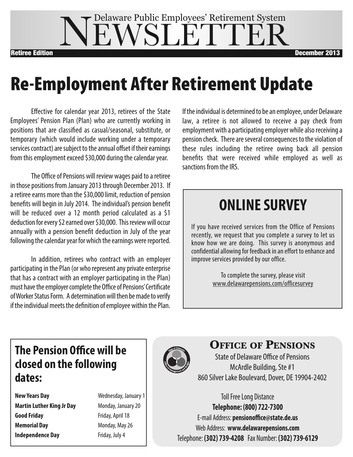### **IEWSLETTE** Delaware Public Employees' Retirement System Retiree Edition December 2013

## **Re-Employment After Retirement Update**

Effective for calendar year 2013, retirees of the State Employees' Pension Plan (Plan) who are currently working in positions that are classified as casual/seasonal, substitute, or temporary (which would include working under a temporary services contract) are subject to the annual offset if their earnings from this employment exceed \$30,000 during the calendar year.

The Office of Pensions will review wages paid to a retiree in those positions from January 2013 through December 2013. If a retiree earns more than the \$30,000 limit, reduction of pension benefits will begin in July 2014. The individual's pension benefit will be reduced over a 12 month period calculated as a \$1 deduction for every \$2 earned over \$30,000. This review will occur annually with a pension benefit deduction in July of the year following the calendar year for which the earnings were reported.

In addition, retirees who contract with an employer participating in the Plan (or who represent any private enterprise that has a contract with an employer participating in the Plan) must have the employer complete the Office of Pensions' Certificate of Worker Status Form. A determination will then be made to verify if the individual meets the definition of employee within the Plan. If the individual is determined to be an employee, under Delaware law, a retiree is not allowed to receive a pay check from employment with a participating employer while also receiving a pension check. There are several consequences to the violation of these rules including the retiree owing back all pension benefits that were received while employed as well as sanctions from the IRS.

## **ONLINE SURVEY**

If you have received services from the Office of Pensions recently, we request that you complete a survey to let us know how we are doing. This survey is anonymous and confidential allowing for feedback in an effort to enhance and improve services provided by our office.

> To complete the survey, please visit www.delawarepensions.com/officesurvey

### **The Pension Office will be closed on the following dates:**

**New Years Day New Years Day Wednesday, January 1 Martin Luther King Jr Day** Monday, January 20 **Good Friday** Friday, April 18 **Memorial Day** Monday, May 26 **Independence Day** Friday, July 4



### **Office Of PensiOns**

State of Delaware Office of Pensions McArdle Building, Ste #1 860 Silver Lake Boulevard, Dover, DE 19904-2402

Toll Free Long Distance **Telephone: (800) 722-7300** E-mail Address: **pensionoffice@state.de.us** Web Address: **www.delawarepensions.com** Telephone: **(302) 739-4208** Fax Number: **(302) 739-6129**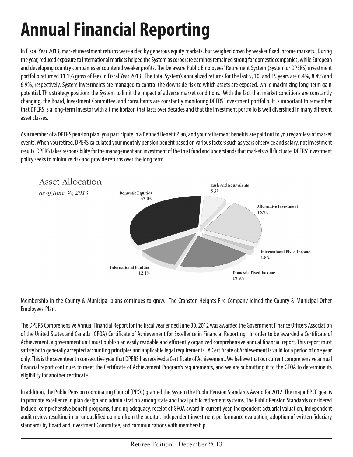# **Annual Financial Reporting**

In Fiscal Year 2013, market investment returns were aided by generous equity markets, but weighed down by weaker fixed income markets. During the year, reduced exposure to international markets helped the System as corporate earnings remained strong for domestic companies, while European and developing country companies encountered weaker profits. The Delaware Public Employees' Retirement System (System or DPERS) investment portfolio returned 11.1% gross of fees in Fiscal Year 2013. The total System's annualized returns for the last 5, 10, and 15 years are 6.4%, 8.4% and 6.9%, respectively. System investments are managed to control the downside risk to which assets are exposed, while maximizing long-term gain potential. This strategy positions the System to limit the impact of adverse market conditions. With the fact that market conditions are constantly changing, the Board, Investment Committee, and consultants are constantly monitoring DPERS' investment portfolio. It is important to remember that DPERS is a long-term investor with a time horizon that lasts over decades and that the investment portfolio is well diversified in many different asset classes.

As a member of a DPERS pension plan, you participate in a Defined Benefit Plan, and your retirement benefits are paid out to you regardless of market events. When you retired, DPERS calculated your monthly pension benefit based on various factors such as years of service and salary, not investment results. DPERS takes responsibility for the management and investment of the trust fund and understands that markets will fluctuate. DPERS' investment policy seeks to minimize risk and provide returns over the long term.



Membership in the County & Municipal plans continues to grow. The Cranston Heights Fire Company joined the County & Municipal Other Employees' Plan.

The DPERS Comprehensive Annual Financial Report for the fiscal year ended June 30, 2012 was awarded the Government Finance Officers Association of the United States and Canada (GFOA) Certificate of Achievement for Excellence in Financial Reporting. In order to be awarded a Certificate of Achievement, a government unit must publish an easily readable and efficiently organized comprehensive annual financial report. This report must satisfy both generally accepted accounting principles and applicable legal requirements. A Certificate of Achievement is valid for a period of one year only. This is the seventeenth consecutive year that DPERS has received a Certificate of Achievement. We believe that our current comprehensive annual financial report continues to meet the Certificate of Achievement Program's requirements, and we are submitting it to the GFOA to determine its eligibility for another certificate.

In addition, the Public Pension coordinating Council (PPCC) granted the System the Public Pension Standards Award for 2012. The major PPCC goal is to promote excellence in plan design and administration among state and local public retirement systems. The Public Pension Standards considered include: comprehensive benefit programs, funding adequacy, receipt of GFOA award in current year, independent actuarial valuation, independent audit review resulting in an unqualified opinion from the auditor, independent investment performance evaluation, adoption of written fiduciary standards by Board and Investment Committee, and communications with membership.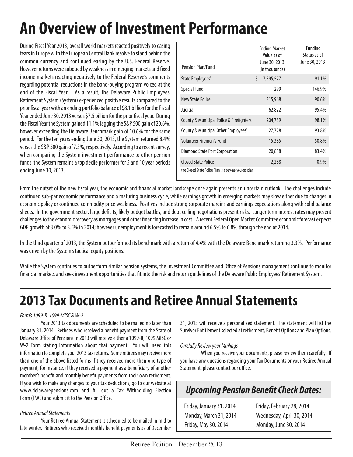## **An Overview of Investment Performance**

During Fiscal Year 2013, overall world markets reacted positively to easing fears in Europe with the European Central Bank resolve to stand behind the common currency and continued easing by the U.S. Federal Reserve. However returns were subdued by weakness in emerging markets and fixed income markets reacting negatively to the Federal Reserve's comments regarding potential reductions in the bond-buying program voiced at the end of the Fiscal Year. As a result, the Delaware Public Employees' Retirement System (System) experienced positive results compared to the prior fiscal year with an ending portfolio balance of \$8.1 billion for the Fiscal Year ended June 30, 2013 versus \$7.5 billion for the prior fiscal year. During the Fiscal Year the System gained 11.1% lagging the S&P 500 gain of 20.6%, however exceeding the Delaware Benchmark gain of 10.6% for the same period. For the ten years ending June 30, 2013, the System returned 8.4% verses the S&P 500 gain of 7.3%, respectively. According to a recent survey, when comparing the System investment performance to other pension funds, the System remains a top decile performer for 5 and 10 year periods ending June 30, 2013.

| Pension Plan/Fund                                     | <b>Ending Market</b><br>Value as of<br>June 30, 2013<br>(in thousands) | Funding<br>Status as of<br>June 30, 2013 |
|-------------------------------------------------------|------------------------------------------------------------------------|------------------------------------------|
| State Employees'                                      | Ś.<br>7,395,577                                                        | 91.1%                                    |
| <b>Special Fund</b>                                   | 299                                                                    | 146.9%                                   |
| <b>New State Police</b>                               | 315,968                                                                | 90.6%                                    |
| Judicial                                              | 62,822                                                                 | 95.4%                                    |
| County & Municipal Police & Firefighters'             | 204,739                                                                | 98.1%                                    |
| County & Municipal Other Employees'                   | 27,728                                                                 | 93.8%                                    |
| Volunteer Firemen's Fund                              | 15,385                                                                 | 50.8%                                    |
| Diamond State Port Corporation                        | 20,818                                                                 | 83.4%                                    |
| Closed State Police                                   | 2,288                                                                  | 0.9%                                     |
| the Closed State Police Plan is a pay-as-you-go plan. |                                                                        |                                          |

From the outset of the new fiscal year, the economic and financial market landscape once again presents an uncertain outlook. The challenges include continued sub-par economic performance and a maturing business cycle, while earnings growth in emerging markets may slow either due to changes in economic policy or continued commodity price weakness. Positives include strong corporate margins and earnings expectations along with solid balance sheets. In the government sector, large deficits, likely budget battles, and debt ceiling negotiations present risks. Longer term interest rates may present challenges to the economic recovery as mortgages and other financing increase in cost. A recent Federal Open Market Committee economic forecast expects GDP growth of 3.0% to 3.5% in 2014; however unemployment is forecasted to remain around 6.5% to 6.8% through the end of 2014.

In the third quarter of 2013, the System outperformed its benchmark with a return of 4.4% with the Delaware Benchmark returning 3.3%. Performance was driven by the System's tactical equity positions.

While the System continues to outperform similar pension systems, the Investment Committee and Office of Pensions management continue to monitor financial markets and seek investment opportunities that fit into the risk and return guidelines of the Delaware Public Employees' Retirement System.

## **2013 Tax Documents and Retiree Annual Statements**

### *Form's 1099-R, 1099-MISC & W-2*

Your 2013 tax documents are scheduled to be mailed no later than January 31, 2014. Retirees who received a benefit payment from the State of Delaware Office of Pensions in 2013 will receive either a 1099-R, 1099 MISC or W-2 Form stating information about that payment. You will need this information to complete your 2013 tax returns. Some retirees may receive more than one of the above listed forms if they received more than one type of payment; for instance, if they received a payment as a beneficiary of another member's benefit and monthly benefit payments from their own retirement. If you wish to make any changes to your tax deductions, go to our website at www.delawarepensions.com and fill out a Tax Withholding Election Form (TWE) and submit it to the Pension Office.

#### *Retiree Annual Statements*

Your Retiree Annual Statement is scheduled to be mailed in mid to late winter. Retirees who received monthly benefit payments as of December 31, 2013 will receive a personalized statement. The statement will list the Survivor Entitlement selected at retirement, Benefit Options and Plan Options.

#### *Carefully Review your Mailings*

When you receive your documents, please review them carefully. If you have any questions regarding your Tax Documents or your Retiree Annual Statement, please contact our office.

### *Upcoming Pension Benefit Check Dates:*

Friday, January 31, 2014 Friday, February 28, 2014 Monday, March 31, 2014 Wednesday, April 30, 2014 Friday, May 30, 2014 Monday, June 30, 2014